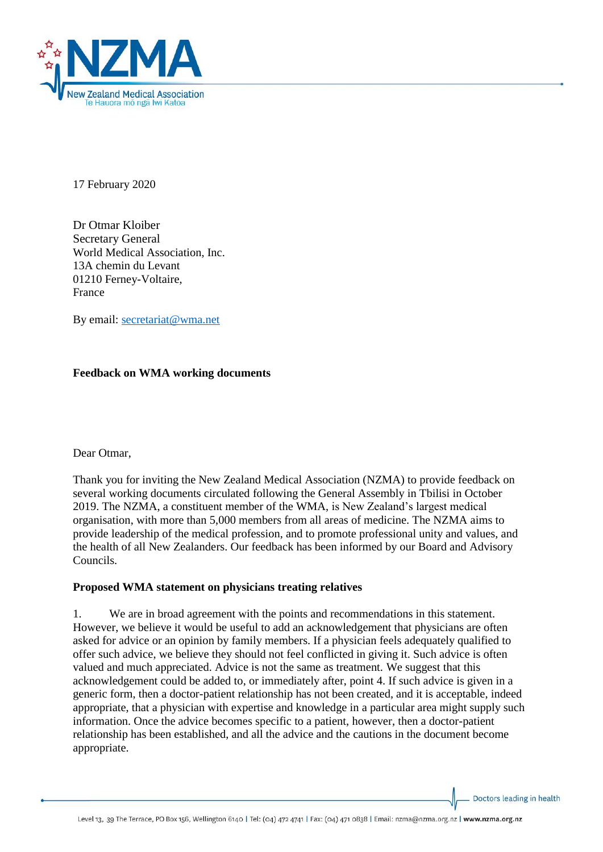

17 February 2020

Dr Otmar Kloiber Secretary General World Medical Association, Inc. 13A chemin du Levant 01210 Ferney-Voltaire, France

By email: [secretariat@wma.net](mailto:secretariat@wma.net)

## **Feedback on WMA working documents**

Dear Otmar,

Thank you for inviting the New Zealand Medical Association (NZMA) to provide feedback on several working documents circulated following the General Assembly in Tbilisi in October 2019. The NZMA, a constituent member of the WMA, is New Zealand's largest medical organisation, with more than 5,000 members from all areas of medicine. The NZMA aims to provide leadership of the medical profession, and to promote professional unity and values, and the health of all New Zealanders. Our feedback has been informed by our Board and Advisory Councils.

### **Proposed WMA statement on physicians treating relatives**

1. We are in broad agreement with the points and recommendations in this statement. However, we believe it would be useful to add an acknowledgement that physicians are often asked for advice or an opinion by family members. If a physician feels adequately qualified to offer such advice, we believe they should not feel conflicted in giving it. Such advice is often valued and much appreciated. Advice is not the same as treatment. We suggest that this acknowledgement could be added to, or immediately after, point 4. If such advice is given in a generic form, then a doctor-patient relationship has not been created, and it is acceptable, indeed appropriate, that a physician with expertise and knowledge in a particular area might supply such information. Once the advice becomes specific to a patient, however, then a doctor-patient relationship has been established, and all the advice and the cautions in the document become appropriate.

Doctors leading in health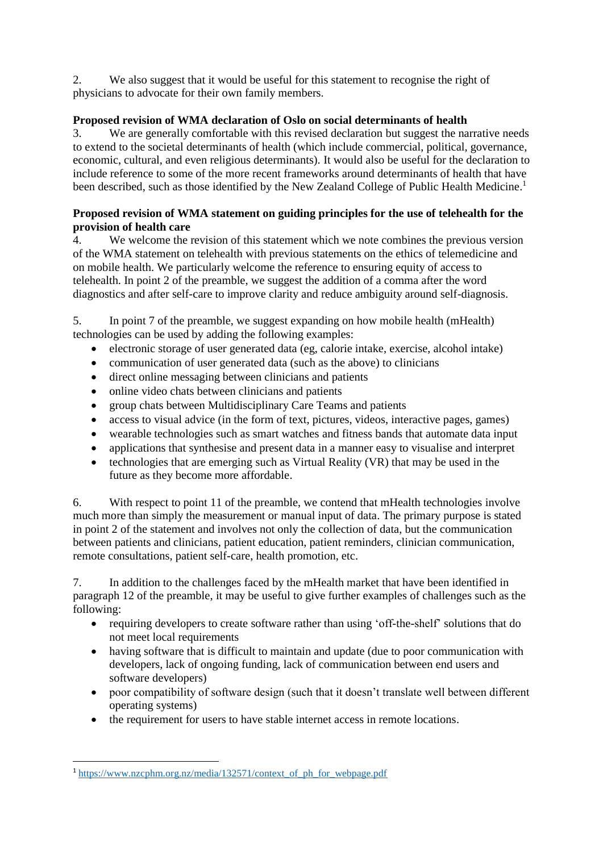2. We also suggest that it would be useful for this statement to recognise the right of physicians to advocate for their own family members.

# **Proposed revision of WMA declaration of Oslo on social determinants of health**

3. We are generally comfortable with this revised declaration but suggest the narrative needs to extend to the societal determinants of health (which include commercial, political, governance, economic, cultural, and even religious determinants). It would also be useful for the declaration to include reference to some of the more recent frameworks around determinants of health that have been described, such as those identified by the New Zealand College of Public Health Medicine.<sup>1</sup>

## **Proposed revision of WMA statement on guiding principles for the use of telehealth for the provision of health care**

4. We welcome the revision of this statement which we note combines the previous version of the WMA statement on telehealth with previous statements on the ethics of telemedicine and on mobile health. We particularly welcome the reference to ensuring equity of access to telehealth. In point 2 of the preamble, we suggest the addition of a comma after the word diagnostics and after self-care to improve clarity and reduce ambiguity around self-diagnosis.

5. In point 7 of the preamble, we suggest expanding on how mobile health (mHealth) technologies can be used by adding the following examples:

- electronic storage of user generated data (eg, calorie intake, exercise, alcohol intake)
- communication of user generated data (such as the above) to clinicians
- direct online messaging between clinicians and patients
- online video chats between clinicians and patients
- group chats between Multidisciplinary Care Teams and patients
- access to visual advice (in the form of text, pictures, videos, interactive pages, games)
- wearable technologies such as smart watches and fitness bands that automate data input
- applications that synthesise and present data in a manner easy to visualise and interpret
- technologies that are emerging such as Virtual Reality (VR) that may be used in the future as they become more affordable.

6. With respect to point 11 of the preamble, we contend that mHealth technologies involve much more than simply the measurement or manual input of data. The primary purpose is stated in point 2 of the statement and involves not only the collection of data, but the communication between patients and clinicians, patient education, patient reminders, clinician communication, remote consultations, patient self-care, health promotion, etc.

7. In addition to the challenges faced by the mHealth market that have been identified in paragraph 12 of the preamble, it may be useful to give further examples of challenges such as the following:

- requiring developers to create software rather than using 'off-the-shelf' solutions that do not meet local requirements
- having software that is difficult to maintain and update (due to poor communication with developers, lack of ongoing funding, lack of communication between end users and software developers)
- poor compatibility of software design (such that it doesn't translate well between different operating systems)
- the requirement for users to have stable internet access in remote locations.

**.** 

<sup>1</sup> [https://www.nzcphm.org.nz/media/132571/context\\_of\\_ph\\_for\\_webpage.pdf](https://www.nzcphm.org.nz/media/132571/context_of_ph_for_webpage.pdf)